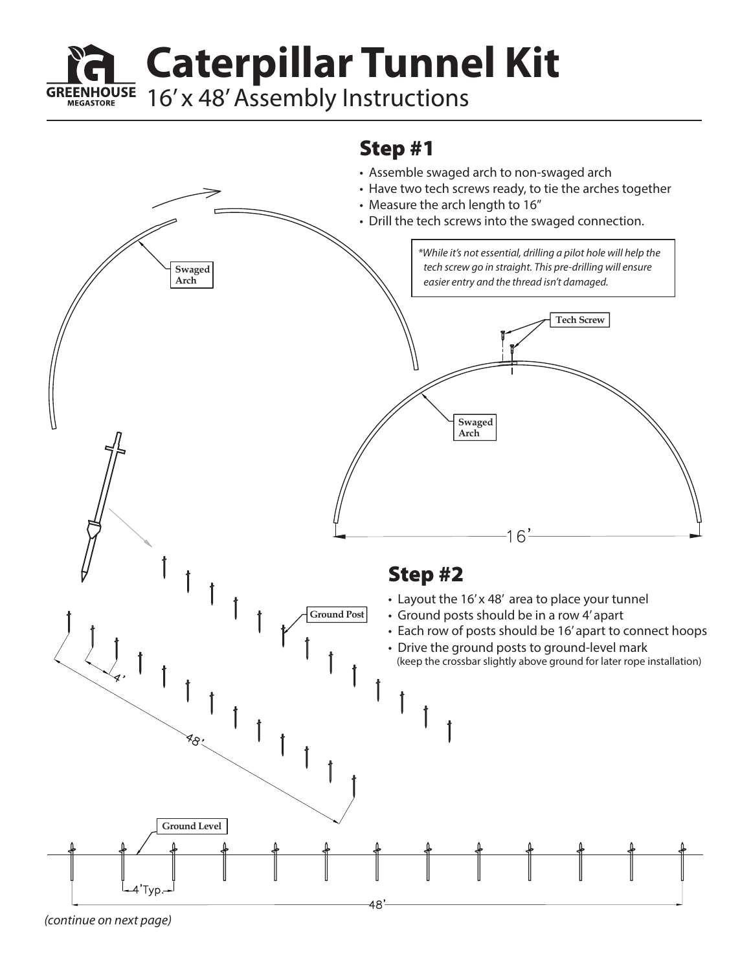**Caterpillar Tunnel Kit**

**GREENHOUSE** 16' x 48' Assembly Instructions

## Step #1



**MEGASTORE**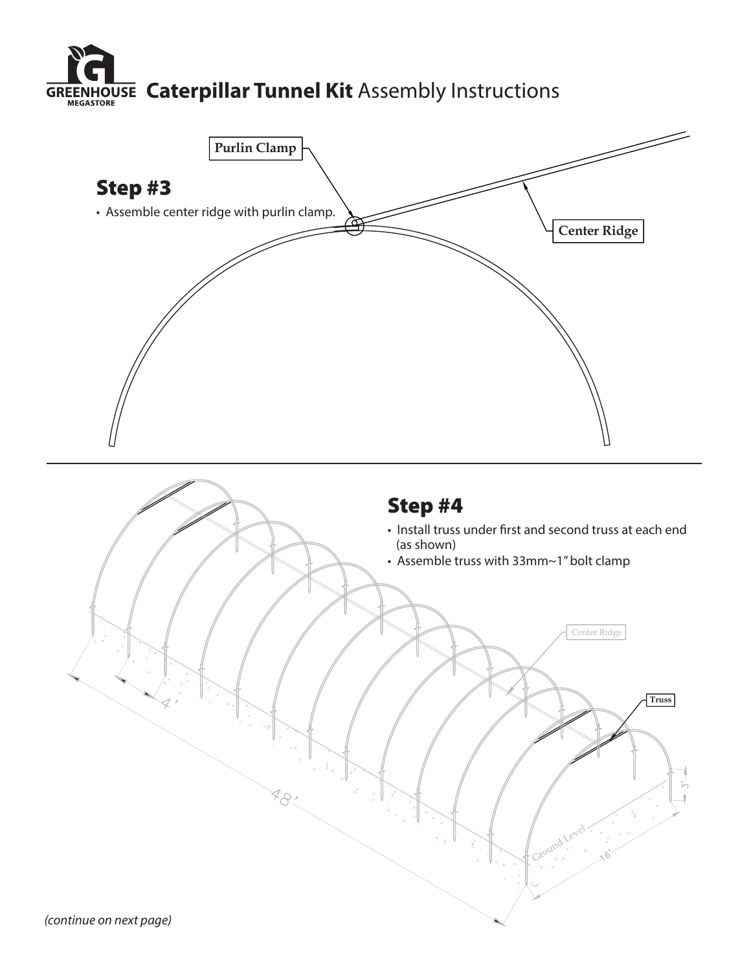

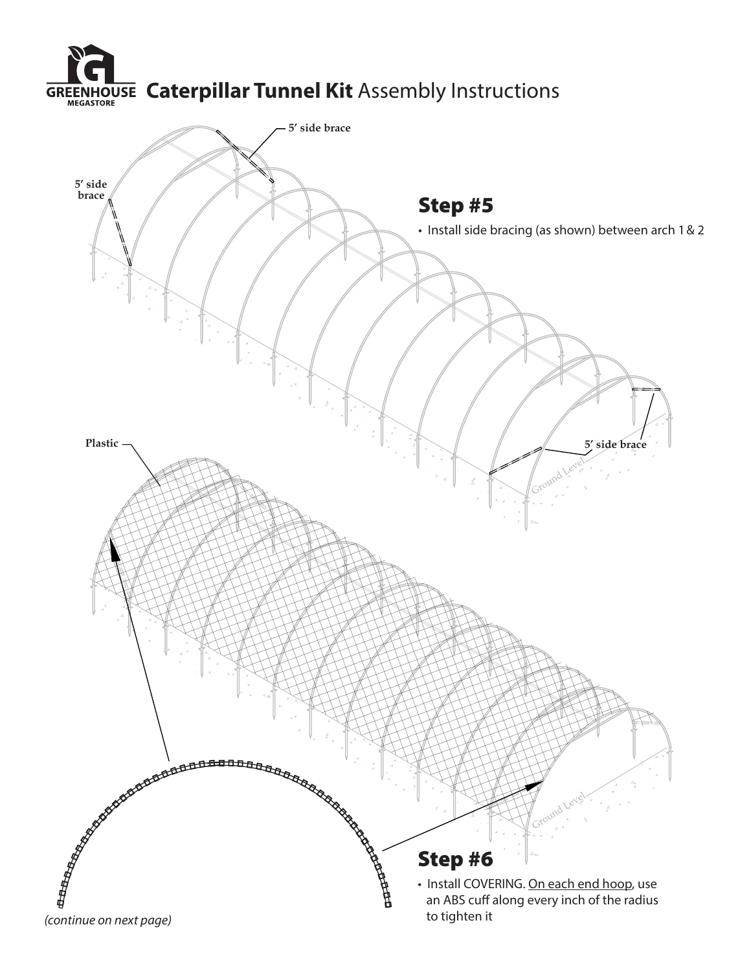